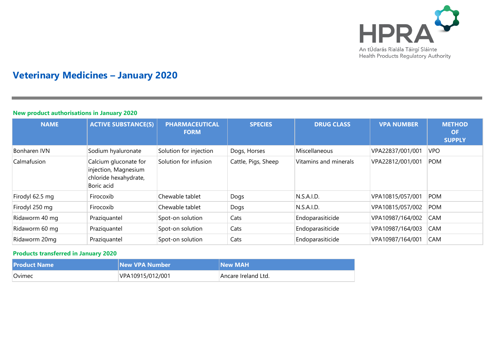

# **Veterinary Medicines – January 2020**

# **New product authorisations in January 2020**

| <b>NAME</b>     | <b>ACTIVE SUBSTANCE(S)</b>                                                           | <b>PHARMACEUTICAL</b><br><b>FORM</b> | <b>SPECIES</b>      | <b>DRUG CLASS</b>     | <b>VPA NUMBER</b> | <b>METHOD</b><br><b>OF</b><br><b>SUPPLY</b> |
|-----------------|--------------------------------------------------------------------------------------|--------------------------------------|---------------------|-----------------------|-------------------|---------------------------------------------|
| Bonharen IVN    | Sodium hyaluronate                                                                   | Solution for injection               | Dogs, Horses        | Miscellaneous         | VPA22837/001/001  | <b>VPO</b>                                  |
| Calmafusion     | Calcium gluconate for<br>injection, Magnesium<br>chloride hexahydrate,<br>Boric acid | Solution for infusion                | Cattle, Pigs, Sheep | Vitamins and minerals | VPA22812/001/001  | <b>POM</b>                                  |
| Firodyl 62.5 mg | Firocoxib                                                                            | Chewable tablet                      | Dogs                | N.S.A.I.D.            | VPA10815/057/001  | <b>POM</b>                                  |
| Firodyl 250 mg  | Firocoxib                                                                            | Chewable tablet                      | Dogs                | N.S.A.I.D.            | VPA10815/057/002  | <b>POM</b>                                  |
| Ridaworm 40 mg  | Praziquantel                                                                         | Spot-on solution                     | Cats                | Endoparasiticide      | VPA10987/164/002  | <b>CAM</b>                                  |
| Ridaworm 60 mg  | Praziquantel                                                                         | Spot-on solution                     | Cats                | Endoparasiticide      | VPA10987/164/003  | <b>CAM</b>                                  |
| Ridaworm 20mg   | Praziquantel                                                                         | Spot-on solution                     | Cats                | Endoparasiticide      | VPA10987/164/001  | <b>CAM</b>                                  |

# **Products transferred in January 2020**

| <b>Product Name</b> | New VPA Number   | <b>New MAH</b>      |
|---------------------|------------------|---------------------|
| <b>Ovimec</b>       | VPA10915/012/001 | Ancare Ireland Ltd. |